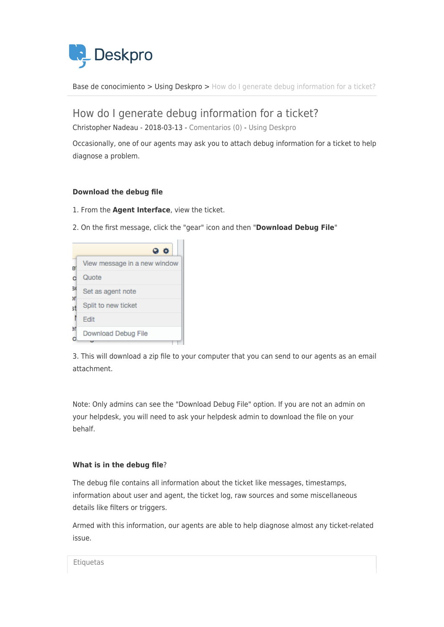

[Base de conocimiento](https://support.deskpro.com/es-ES/kb) > [Using Deskpro](https://support.deskpro.com/es-ES/kb/using-deskpro) > [How do I generate debug information for a ticket?](https://support.deskpro.com/es-ES/kb/articles/how-do-i-generate-debug-information-for-a-ticket)

How do I generate debug information for a ticket?

Christopher Nadeau - 2018-03-13 - [Comentarios \(0\)](#page--1-0) - [Using Deskpro](https://support.deskpro.com/es-ES/kb/using-deskpro)

Occasionally, one of our agents may ask you to attach debug information for a ticket to help diagnose a problem.

## **Download the debug file**

- 1. From the **Agent Interface**, view the ticket.
- 2. On the first message, click the "gear" icon and then "**Download Debug File**"

|         | $\bullet$<br>- 0             |
|---------|------------------------------|
| e       | View message in a new window |
|         | Quote                        |
| 50      | Set as agent note            |
| л<br>st | Split to new ticket          |
|         | Edit                         |
| эr<br>ō | Download Debug File          |

3. This will download a zip file to your computer that you can send to our agents as an email attachment.

Note: Only admins can see the "Download Debug File" option. If you are not an admin on your helpdesk, you will need to ask your helpdesk admin to download the file on your behalf.

## **What is in the debug file**?

The debug file contains all information about the ticket like messages, timestamps, information about user and agent, the ticket log, raw sources and some miscellaneous details like filters or triggers.

Armed with this information, our agents are able to help diagnose almost any ticket-related issue.